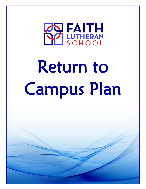

# Return to Campus Plan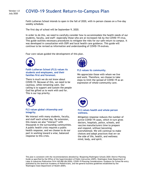#### Version 1.0 July 2020

# **COVID-19 Student Return-to-Campus Plan**

Faith Lutheran School intends to open in the fall of 2020, with in-person classes on a five-day weekly schedule.

The first day of school will be September 9, 2020.

In order to do this, we need to carefully consider how to accommodate the health needs of our students, faculty, and staff—especially those who are at increased risk by the COVID-19 virus. This guide outlines necessary procedures to mitigate the risks for our safe return to campus. It was developed in consultation with OSPI and local health care guidance. This guide will continue to be revised as information and understanding of COVID-19 evolves.

Four core values guided the development of this plan.



#### **Faith Lutheran School (FLS) values its students and employees, and their families first and foremost.**

There is much we do not know about COVID-19. Because of this, we need to be cautious, while remaining calm. Our calling is to support and sustain the people God has gifted us to work with and for. This is our top priority.



#### **FLS values its community.**

We appreciate those with whom we live and work. Therefore, we choose to take steps to limit the spread of COVID-19 as an expression of whole-community care.



#### **FLS values global citizenship and integrity.**

We interact with many students, faculty, and staff each school day. By extension, this means we also "interact" with thousands in the surrounding communities. A public health crisis requires a public health response, and we choose to do our part in working toward a wise, balanced response to this crisis.



#### **FLS values health and whole person wellness.**

Mitigation response reduces the number of active COVID-19 cases, which in turn gives doctors, hospitals, police, schools, and vaccine manufacturers time to prepare and respond, without becoming overwhelmed. We will continue to make choices and adopt practices that err on the side of life, health, and wellness: mind, body, and spirit.

This plan is consistent with the recommendations detailed by: Reopening Washington Schools 2020: District Planning Guide as specified by the Office of the Superintendent of Public Instruction (OSPI), Washington State Department of Labor & Industries Publication F414-169-000 (06-2020), COVID-19 Planning Considerations: Guidance for School Re-entry published by the American Academy of Pediatricians, and the general business guidelines established by the Washington State Department of Health (DOH).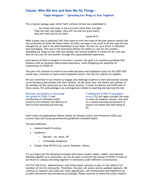### **Values: Who We Are and How We Do Things –**

#### **"Eagle Wingspan" – Spreading Our Wings to Soar Together**

The scripture passage upon which Faith Lutheran School was established is:

*. . . but those who hope in the Lord will renew their strength. They will soar like eagles; they will run and not grow weary, they will walk and not be faint.*

#### Isaiah 40:31

What a great way to approach life! Even more so with the chaos of the past several months and the uncertainty of what the future holds. At Faith, we hope in the Lord! In all the ways life has changed for us, God is the solid foundation of our hope. His love for us in Christ is relentless and unchanging. This love is the motivation behind our ability to care for one another. Spreading our wings to soar with one another will remind students of whose we are, but also how we can care for one another through this unprecedented experience.

Each person at Faith is integral to this plan's success. Our goal is to continue providing Faith students with an excellent educational experience, while mitigating the potential for transmission of COVID-19.

This plan will continue to evolve as we make decisions and implement plans for the 2020-2021 school year. Continue to check email frequently and/or visit the FLS website for updates.

We are committed in our mission to engage and challenge students in their educational journey as we develop a partnership with their families. At the same time, the health and wellness of all members of the community are the utmost priority. In order to balance and fulfill both of these values, FLS acknowledges two contingencies related to teaching and learning this fall:

Necessary precautions to discourage the spread of COVID-19 and mindfulness of individual health concerns will influence the delivery of face-to-face teaching and learning.

If widespread COVID-19 resurgence occurs, FLS will again consider the need to move all students, faculty, and staff to a remote learning environment to protect the health and well-being of all.

Faith's plan of preparedness follows Center for Disease Control and Prevention (CDC) and current state and county governmental guidelines/standards/plans.

The plan addresses:

- General Health Practices
- Academics
	- o Specials Art, Music, PE
	- o Technology Integration
- Chapel, Drop Off/Pick Up, Lunch, Recesses, Library

It is our hope that the following strategies will ensure student safety, health, and wellness. Working together as a community, we can do much to prevent the spread of COVID-19 even as we return to campus and being together in community under different circumstances.

The FLS Task Force, administration, and school board continue to plan for the safety of all members of the FLS community. Therefore, this plan will evolve and be updated regularly. We continue to research and study and, when appropriate, will communicate and implement upto-date information and procedures accordingly. Please continue to check the school website.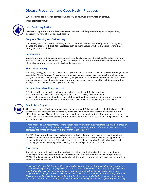# **Disease Prevention and Good Health Practices**

CDC-recommended infection control practices will be followed everywhere on campus.

These practices include:



#### **Hand Sanitizing Stations**

Hand sanitizing stations (of at least 60% alcohol content) will be placed throughout campus. Every classroom will have at least one such station.

#### **Frequent Cleaning and Disinfecting**

Classrooms, bathrooms, the lunch area, and all other areas students frequently use will be regularly cleaned and disinfected. High-touch surfaces such as door handles, will be disinfected several times throughout the school day.

#### **Handwashing**

Students and staff will be encouraged to wash their hands frequently throughout the school day for at least 20 seconds, as recommended by the CDC. The most important of these times will be before lunch when a temperature screening will also be administered.

#### **Physical Distancing**

Students, faculty, and staff will maintain a physical distance of 6 feet as much as possible throughout the school day. "Eagle Wingspan" may become a phrase you hear a great deal this year! Stretching arms straight out to "soar like an eagle" will assist young students to understand and remember to maintain physical distance from others. Classroom furniture, lunchroom tables, and other public spaces will be arranged to accommodate this physical distancing.

#### **Personal Protective Items and Use**

FLS will provide every student with one washable, reusable cloth facial covering/ mask. Families may consider obtaining additional facial coverings. Home-made or commercially-manufactured masks are acceptable. Multiple face coverings will allow for rotation of use and the ability to wash them often. Plan to have at least several face coverings for this reason.



#### **Respiratory Etiquette**

All students and staff will wear a facial covering (cloth mask OR clear, full-face shield) when in public spaces such as classrooms, the lunchroom, or the gym where minimum physical distancing is more difficult to manage. Disposable face coverings/masks will be provided for visitors who need to be on campus and do not already have one; these are designed for one-time use and must be placed in the trash and replaced daily.

*Please note: The CDC recommends wearing cloth face coverings in public settings, especially in areas of community transmission. A cloth face covering does not generally protect the wearer from viruses, but it decreases the spread of viruses from the wearer to other people.*

The FLS office area will continue serving families virtually. Parents are encouraged to utilize virtual services to minimize risk of exposure. When absolutely necessary, parents may set an appointment to connect with staff on campus. Visitors to campus will be held accountable for adhering to physicaldistancing guidelines, wearing a face covering and modeling safe health practices.

#### **Screenings**

Students and staff will undergo a temperature screening upon their arrival to campus. Additional screenings will be conducted throughout the school day. Students or staff who exhibit symptoms of COVID-19 while on campus will be immediately isolated while arrangements are made for them to leave campus as soon as possible.

*Please note: It is absolutely imperative that individuals stay or be kept at home if they or anyone in their immediately family has symptoms of COVID-19. History indicates that people often go to work or school when they are ill. This cannot happen in the present situation. Such behavior will create dangerous situations for others or inconvenient quarantine and subsequent remote learning situations. This policy must be agreed upon and adhered to by all members of the Faith community if we are to fulfill our commitment to keeping everyone safe while remaining on campus for face-to-face learning.*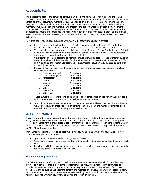# **Academic Plan**

The overarching goal of this return-to-campus plan is to bring as much normality back to the learning process as possible for students and families. To quote the American Academy of Pediatrics "Guidance for School Re-entry" document, "Schools are fundamental to child and adolescent development and wellbeing and provide our children with academic instruction, social and emotional skills, safety, reliable nutrition, physical/speech and mental health therapy, and opportunities for physical activity, among other benefits." Here at FLS, we express this as "caring for the whole person" rather than focusing just on academic content. Students need to be ready for much more than "the test" in order to live life well as God intended. The above stated goal is to have Faith students "ready" to move forward in all facets of their lives.

How this goal will be accomplished with COVID-19 safety measures in effect:

- In class learning will include the use of Google Classroom in all grade levels. This will allow teachers to train students to use this system and required procedures while together.
- Teachers will deliver content (up to 10%) from each subject area "online" while in class. This will enable students to practice skills and receive assistance in person. (The goal is to be prepared for a pivot to remote learning should it be required.)
- Classrooms will remain separate as "cohort" groups as much as possible. (Departmentalization in the middle school will be suspended for this school year.) This practice will also enhance FLS's ability to assist local health agencies with contact tracing should a COVID-19 case be confirmed in the FLS community.
- Physical distancing requirements as applied to specific physical classrooms dictate that class sizes will be limited to:

|          | Preschool and PreK  | - 14 students |
|----------|---------------------|---------------|
| $\Omega$ | Junior Kindergarten | - 16 students |
| $\circ$  | Kindergarten        | - 16 students |
|          | Grade 1             | - 14 students |
|          | Grade 2             | - 14 students |
|          | Grade 3             | - 12 students |
|          | Grade 4             | - 12 students |
|          | Grades 5/6          | - 12 students |
|          | Grades 7/8          | - 12 students |

These numbers represent the maximum number of students based on optimal arranging of desks and/or other classroom furniture. (i.e., tables for younger students.)

• Supply lists for each class can be found on the school website. Please note that there will be no "shared" supplies on these lists. It is important to purchase only the numeric quantities listed due to limited classroom storage space for each student.

#### **Specials – Art, Music, PE**

These are and will remain important content areas of the Faith curriculum. Individual student interest and giftedness make these areas critical to individual student motivation. Creativity and self-expression fostered by engagement in these areas is easily transferred to and enhances work in core content areas of Faith's curriculum. Every effort will be made to retain these content areas with required adherence to COVID-19 health requirements.

Though many decisions are yet to be determined, the following points will be the foundational structure upon which our plan will be based.

- Specials will be experienced as class groups (cohorts).
- Classrooms or areas where special content will be taught will be cleaned and sanitized after each class.
- Enrollment will determine whether these content areas will be taught by specialty teachers or be led by the grade level teacher of the class.

#### **Technology Integration Plan**

The Faith faculty and staff is excited to welcome students back to campus this fall! Student learning involves so much more than simply being in classrooms. FLS faculty and staff remain committed to providing students an outstanding education. As we prepare for the next academic year, faculty are already at work developing and updating content and methods of delivery. As always, our teachers apply sound educational practice and use evidence-based teaching methods so that students receive a creative, rigorous, dynamic Christian education, no matter the format of delivery.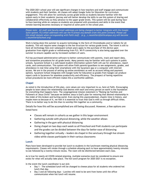The 2020-2021 school year will see significant changes in how teachers and staff engage and communicate with students and their families. All classes will adopt Google Suite for Education for curriculum engagement. This will allow for continuity across grade levels so students become familiar with the system early in their academic journey and will better develop the skills to use this system of sharing and collaboration effectively as they advance to the upper grade levels. This system will be used during faceto-face learning while on campus so students are prepared with procedures and skills in the event that remote learning becomes necessary or required at some point in the school year.

*Please note: All staff and faculty email addresses are being changed to better integrate with the Google Suite system. FLS email addresses will use the FLSchool.org domain from this point forward. Please use this email domain when corresponding with Faith staff. (e.g., c.neumiller@faithcampus.org will become c.neumiller@flschool.org)*

Work is being done this summer to acquire technology in the form of Chromebooks and/or tablets for all students. This will require some changes to the fee structure for various grade levels. The intent is still to have all technology fees over subsequent school years apply to the purchase of this device upon graduation from eighth grade or withdrawing from FLS. Wi-Fi connectivity is also being upgraded over the summer to ensure capable use by increased numbers of users.

FLS has purchased administrative software to better communicate with parents, track and report data, and streamline procedures for all grade levels. Many parents may be familiar with such systems in public schools. Sycamore School is a web-based student information system Faith will use for attendance, report cards, and communication. This system will allow Faith parents/guardians to see assignments, grades, and attendance in real time using their smartphone with the Sycamore app or a computer with internet access. We are in the process of setting up online enrollment as well as account billing and payment options. Sycamore School integrates with Google Suite for Education so grades from Google can produce report cards in Sycamore for seamless productivity and efficiency. The prospect of having repetitive school procedures be more efficient makes this a worthwhile addition.

#### **Chapel**

As noted in the introduction of this plan, core values are very important to us, here at Faith. Encouraging people to learn about the relationship God desires with each and every person on earth is the foundation for everything that happens here. The congregational mission statement is "Raising Up Families and Followers of Jesus Christ" because we believe Jesus is God's plan for restoring that desired relationship in the midst of this broken and hurting world. Even during this unprecedented, chaotic time in history, and maybe more so because of it, we feel it is essential to trust that God is with us through difficult times. There is no better way to do this than to worship Him together as a community.

Details for how this will be accomplished are still being discussed. However, a few options are listed here:

- Classes will remain in cohorts as we gather in this larger environment
- Gathering outside with physical distancing, while the weather allows
- Gathering in the gym with physical distancing
- Doing chapel on two days each week so all Preschool and PreK students can participate and the grades can be divided between the days for better ease of distancing
- Gathering together virtually leaders do chapel in the sanctuary through live stream video while classes participate in their various classrooms

#### **Lunch**

Plans have been developed to provide hot lunch to students in the lunchroom meeting physical distancing requirements. Classes will rotate through a schedule allowing each to have approximately twenty minutes to eat followed by a twenty-minute recess. The room will be disinfected between each class.

As is true for nearly all COVID-related planning, multiple scenarios must be considered to ensure one exists for what will actually take place. The hot lunch program for 2020-2021 is no exception.

In the event the lunch coordinator is out sick:

- Day 1 The scheduled lunch will be changed to cheese pizza for all students who ordered hot lunch that day.
- Day 2 and all following days Lunches will need to be sent from home until the office communicates when hot lunch will resume.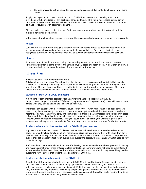• Refunds or credits will be issued for any lunch days canceled due to the lunch coordinator being absent.

Supply shortages and purchase limitations due to Covid-19 may create the possibility that not all ingredients will be available for any particular scheduled lunch. This would necessitate making day-of substitutions to the menu. Refunds will not be issued for these occasions; however, accommodations will be made for students with documented allergies.

Obvious health concerns prohibit the use of microwave ovens for student use. Hot water will still be available for ramen noodle cups.

In the event of a school closure, arrangements will be communicated regarding a plan for refunds/credits.

#### **Recess**

Class cohorts will also rotate through a schedule for outside recess as well as between designated play areas containing playground equipment or grass field game activities. Each class cohort will have designated playground/PE equipment which will be cleaned and sanitized by the class after each use.

#### **Library**

At present, use of the library is also being planned using a class cohort rotation schedule. However, further consideration is being given to the limited physical space this room offers. A clear plan of use will be more easily discussed upon the return of teachers and staff in August.

## **Illness Plan**

#### What if a student/staff member becomes ill?

This is an important question. The mitigation plan for our return to campus will certainly limit members of the Faith community from many illnesses, but will most likely not prevent *all* illness throughout the school year. This question is multifaceted, with significant implications for course planning. There are several different scenarios in which students and/or staff members will need to be absent.

#### **Students or staff with COVID symptoms**

If a student or staff member gets sick with any symptoms that could represent COVID-19 [https://www.cdc.gov/coronavirus/2019-ncov/symptoms-testing/symptoms.html], they will need to selfisolate until they can be tested and shown to be negative.

This means any student with a sore throat, cough, fever (100+), runny nose, fatigue, or body aches will have to stay home and not go to class until they are able to get tested and that test result comes back negative. This may take several days, or become longer if there is a large increase in the number of cases being tested. Overwhelming the medical system with large case loads is what we can all help to avoid by following these mitigation procedures. Trying to "tough it out" and still go to work is to potentially endanger our colleagues and our students. We must stay home, get tested, and wait for the test results.

#### **Students who are in close contact with a COVID-19 positive case**

Any person who is a close contact of a known positive case will need to quarantine themselves for 14 days. This would include family members, roommates, close friends, or any others with whom they have been in close proximity for more than 10-15 minutes. Even if these students don't develop symptoms and even if they get a negative test result during their quarantine period, these contacts will still need to stay home for 14 days.

Staff would not, under normal conditions and if following the recommendations above (physical distancing and mask-wearing), meet these criteria as close contacts and therefore would not need to quarantine. If a staff member had worked closely with a student, especially if without a mask, they would likely need to quarantine for 14 days if that student tested positive for COVID-19.

#### **Students or staff who test positive for COVID-19**

A student or staff member who tests positive for COVID-19 will need to isolate for a period of time after their diagnosis. Guidelines are currently being updated due to new information, but the infected individual may need to be absent for a minimum of 10-14 days from the date of symptom start, assuming they are then clinically improving. Most young people who get this infection will start to improve within two weeks, but some may have a very serious or prolonged course of illness that could require them to be absent from school or work for many weeks or even months.